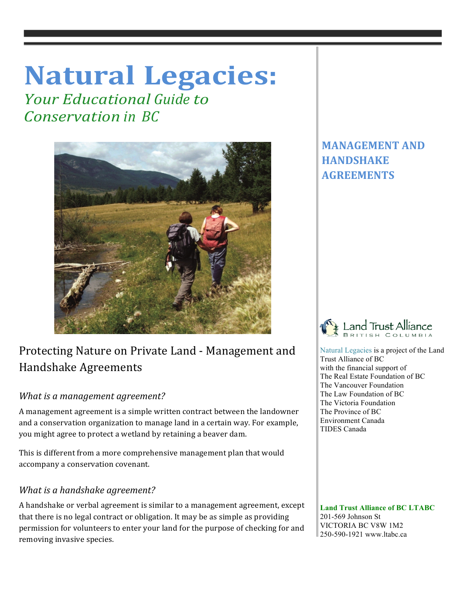# **Natural Legacies:**

*<u>Your Educational Guide to</u> Conservation in BC*



## Protecting Nature on Private Land - Management and Handshake Agreements

## *What is a management agreement?*

A management agreement is a simple written contract between the landowner and a conservation organization to manage land in a certain way. For example, you might agree to protect a wetland by retaining a beaver dam.

This is different from a more comprehensive management plan that would accompany a conservation covenant.

## *What is a handshake agreement?*

A handshake or verbal agreement is similar to a management agreement, except that there is no legal contract or obligation. It may be as simple as providing permission for volunteers to enter your land for the purpose of checking for and removing invasive species.

## **MANAGEMENT AND HANDSHAKE AGREEMENTS**



 Natural Legacies is a project of the Land Trust Alliance of BC with the financial support of The Real Estate Foundation of BC The Vancouver Foundation The Law Foundation of BC The Victoria Foundation The Province of BC Environment Canada TIDES Canada

 **Land Trust Alliance of BC LTABC** 201-569 Johnson St VICTORIA BC V8W 1M2 250-590-1921 www.ltabc.ca